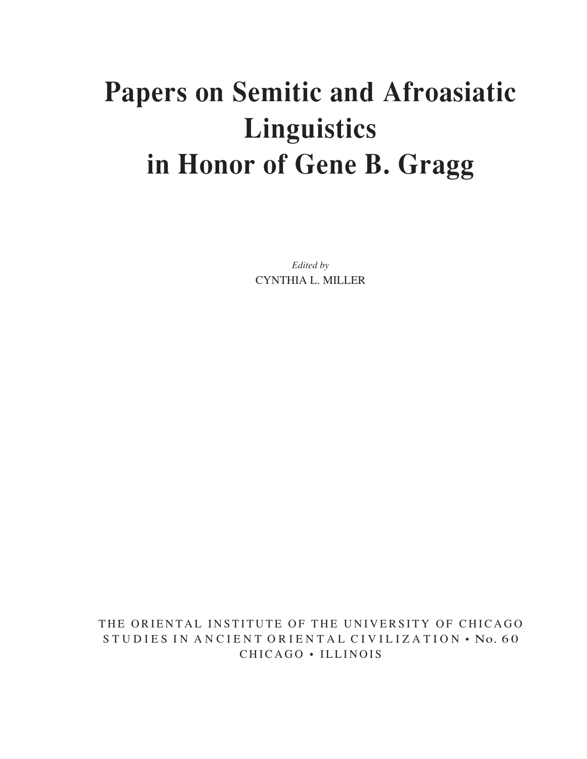# **Papers on Semitic and Afroasiatic Linguistics in Honor of Gene B. Gragg**

*Edited by* CYNTHIA L. MILLER

THE ORIENTAL INSTITUTE OF THE UNIVERSITY OF CHICAGO S TUDIES IN ANCIENT ORIENTAL CIVILIZATION • No. 60 CHICAGO • ILLINOIS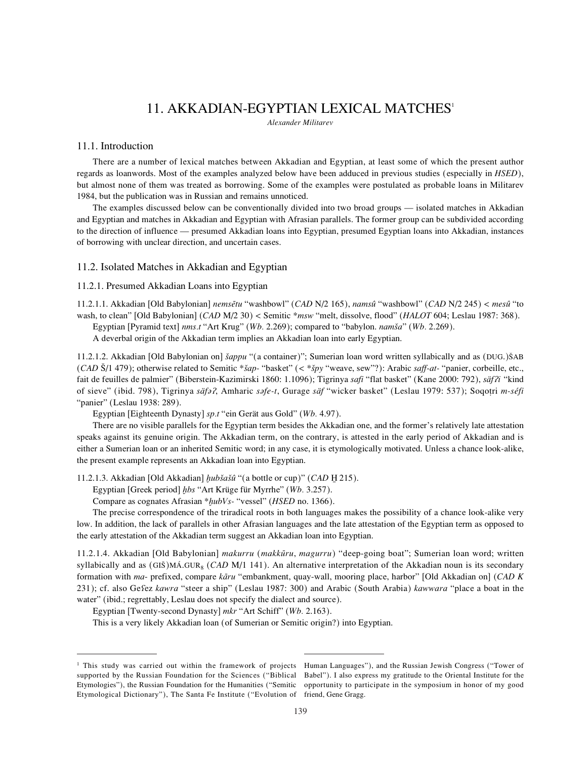## 11. AKKADIAN-EGYPTIAN LEXICAL MATCHES<sup>1</sup>

*Alexander Militarev*

## 11.1. Introduction

There are a number of lexical matches between Akkadian and Egyptian, at least some of which the present author regards as loanwords. Most of the examples analyzed below have been adduced in previous studies (especially in *HSED*), but almost none of them was treated as borrowing. Some of the examples were postulated as probable loans in Militarev 1984, but the publication was in Russian and remains unnoticed.

The examples discussed below can be conventionally divided into two broad groups — isolated matches in Akkadian and Egyptian and matches in Akkadian and Egyptian with Afrasian parallels. The former group can be subdivided according to the direction of influence — presumed Akkadian loans into Egyptian, presumed Egyptian loans into Akkadian, instances of borrowing with unclear direction, and uncertain cases.

## 11.2. Isolated Matches in Akkadian and Egyptian

## 11.2.1. Presumed Akkadian Loans into Egyptian

11.2.1.1. Akkadian [Old Babylonian] *nemsËtu* "washbowl" (*CAD* N/2 165), *namsû* "washbowl" (*CAD* N/2 245) *< mesû* "to wash, to clean" [Old Babylonian] (*CAD* M/2 30) *<* Semitic \**msw* "melt, dissolve, flood" (*HALOT* 604; Leslau 1987: 368).

Egyptian [Pyramid text] *nms.t* "Art Krug" (*Wb.* 2.269); compared to "babylon. *namåa*" (*Wb.* 2.269).

A deverbal origin of the Akkadian term implies an Akkadian loan into early Egyptian.

11.2.1.2. Akkadian [Old Babylonian on] *åappu* "(a container)"; Sumerian loan word written syllabically and as (DUG.)ÅAB (*CAD* Å/1 479); otherwise related to Semitic \**åap-* "basket" (*<* \**åpy* "weave, sew"?): Arabic *saff-at-* "panier, corbeille, etc., fait de feuilles de palmier" (Biberstein-Kazimirski 1860: 1.1096); Tigrinya *safi* "flat basket" (Kane 2000: 792), *säf* $i$ i "kind of sieve" (ibid. 798), Tigrinya *säfœ*÷, Amharic *sœfe-t*, Gurage *säf* "wicker basket" (Leslau 1979: 537); Soqoøri *m-séfi* "panier" (Leslau 1938: 289).

Egyptian [Eighteenth Dynasty] *sp.t* "ein Gerät aus Gold" (*Wb.* 4.97).

There are no visible parallels for the Egyptian term besides the Akkadian one, and the former's relatively late attestation speaks against its genuine origin. The Akkadian term, on the contrary, is attested in the early period of Akkadian and is either a Sumerian loan or an inherited Semitic word; in any case, it is etymologically motivated. Unless a chance look-alike, the present example represents an Akkadian loan into Egyptian.

11.2.1.3. Akkadian [Old Akkadian] *hubšašû* "(a bottle or cup)" (*CAD* H 215).

Egyptian [Greek period] hbs "Art Krüge für Myrrhe" (Wb. 3.257).

Compare as cognates Afrasian \**hubVs*- "vessel" (*HSED* no. 1366).

The precise correspondence of the triradical roots in both languages makes the possibility of a chance look-alike very low. In addition, the lack of parallels in other Afrasian languages and the late attestation of the Egyptian term as opposed to the early attestation of the Akkadian term suggest an Akkadian loan into Egyptian.

11.2.1.4. Akkadian [Old Babylonian] *makurru* (*makkūru*, *magurru*) "deep-going boat"; Sumerian loan word; written syllabically and as (GIŠ)MÁ.GUR<sub>8</sub> (*CAD M*/1 141). An alternative interpretation of the Akkadian noun is its secondary formation with *ma*- prefixed, compare *kΩru* "embankment, quay-wall, mooring place, harbor" [Old Akkadian on] (*CAD K* 231); cf. also Ge¿ez *kawra* "steer a ship" (Leslau 1987: 300) and Arabic (South Arabia) *kawwara* "place a boat in the water" (ibid.; regrettably, Leslau does not specify the dialect and source).

Egyptian [Twenty-second Dynasty] *mkr* "Art Schiff" (*Wb.* 2.163).

This is a very likely Akkadian loan (of Sumerian or Semitic origin?) into Egyptian.

<sup>&</sup>lt;sup>1</sup> This study was carried out within the framework of projects Human Languages"), and the Russian Jewish Congress ("Tower of Etymological Dictionary"), The Santa Fe Institute ("Evolution of friend, Gene Gragg.

supported by the Russian Foundation for the Sciences ("Biblical Babel"). I also express my gratitude to the Oriental Institute for the Etymologies"), the Russian Foundation for the Humanities ("Semitic opportunity to participate in the symposium in honor of my good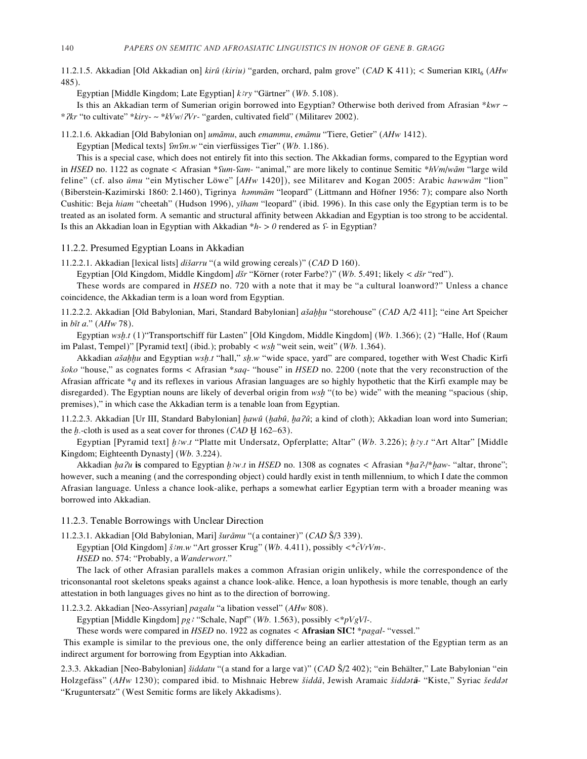11.2.1.5. Akkadian [Old Akkadian on] *kirû (kiriu)* "garden, orchard, palm grove" (*CAD* K 411); *<* Sumerian KIRIfl (*AHw* 485).

Egyptian [Middle Kingdom; Late Egyptian] *k˙ry* "Gärtner" (*Wb.* 5.108).

Is this an Akkadian term of Sumerian origin borrowed into Egyptian? Otherwise both derived from Afrasian *\*kwr* ~ *\**  $2kr$  "to cultivate" \**kiry-* ~ \* $kVw/2Vr$ - "garden, cultivated field" (Militarev 2002).

11.2.1.6. Akkadian [Old Babylonian on] *umΩmu*, auch *emammu*, *emΩmu* "Tiere, Getier" (*AHw* 1412).

Egyptian [Medical texts]  $\lim_{w \to 0} w$  "ein vierfüssiges Tier" (*Wb.* 1.186).

This is a special case, which does not entirely fit into this section. The Akkadian forms, compared to the Egyptian word in *HSED* no. 1122 as cognate < Afrasian \**fum-fam-* "animal," are more likely to continue Semitic \**hVm*/*w* $\bar{a}$ *m* "large wild feline" (cf. also ūmu "ein Mytischer Löwe" [*AHw* 1420]), see Militarev and Kogan 2005: Arabic hawwām "lion" (Biberstein-Kazimirski 1860: 2.1460), Tigrinya *hœmmäm* "leopard" (Littmann and Höfner 1956: 7); compare also North Cushitic: Beja *hiam* "cheetah" (Hudson 1996), *y`ham* "leopard" (ibid. 1996). In this case only the Egyptian term is to be treated as an isolated form. A semantic and structural affinity between Akkadian and Egyptian is too strong to be accidental. Is this an Akkadian loan in Egyptian with Akkadian \**h*- *> 0* rendered as ¿*-* in Egyptian?

#### 11.2.2. Presumed Egyptian Loans in Akkadian

11.2.2.1. Akkadian [lexical lists] *diåarru* "(a wild growing cereals)" (*CAD* D 160).

Egyptian [Old Kingdom, Middle Kingdom] *dår* "Körner (roter Farbe?)" (*Wb.* 5.491; likely *< dår* "red").

These words are compared in *HSED* no. 720 with a note that it may be "a cultural loanword?" Unless a chance coincidence, the Akkadian term is a loan word from Egyptian.

11.2.2.2. Akkadian [Old Babylonian, Mari, Standard Babylonian] *ašahhu* "storehouse" (*CAD* A/2 411]; "eine Art Speicher in *bÏt a*." (*AHw* 78).

Egyptian *wsh.t* (1)"Transportschiff für Lasten" [Old Kingdom, Middle Kingdom] (*Wb.* 1.366); (2) "Halle, Hof (Raum im Palast, Tempel)" [Pyramid text] (ibid.); probably < wsh "weit sein, weit" (*Wb.* 1.364).

Akkadian *ašahhu* and Egyptian *wsh.t* "hall," *sh.w* "wide space, yard" are compared, together with West Chadic Kirfi *åoko* "house," as cognates forms *<* Afrasian \**saq*- "house" in *HSED* no. 2200 (note that the very reconstruction of the Afrasian affricate \**q* and its reflexes in various Afrasian languages are so highly hypothetic that the Kirfi example may be disregarded). The Egyptian nouns are likely of deverbal origin from *wsh* "(to be) wide" with the meaning "spacious (ship, premises)," in which case the Akkadian term is a tenable loan from Egyptian.

11.2.2.3. Akkadian [Ur III, Standard Babylonian] *æawû* (*æabû, æa*÷ *û*; a kind of cloth); Akkadian loan word into Sumerian; the *h*.-cloth is used as a seat cover for thrones (*CAD* H 162–63).

Egyptian [Pyramid text] *[Biw.t* "Platte mit Undersatz, Opferplatte; Altar" (*Wb.* 3.226); *[Biy.t* "Art Altar" [Middle Kingdom; Eighteenth Dynasty] (*Wb.* 3.224).

Akkadian *ha?u* is compared to Egyptian  $h \partial w \cdot t$  in *HSED* no. 1308 as cognates < Afrasian \**ha?-*/\**haw*- "altar, throne"; however, such a meaning (and the corresponding object) could hardly exist in tenth millennium, to which I date the common Afrasian language. Unless a chance look-alike, perhaps a somewhat earlier Egyptian term with a broader meaning was borrowed into Akkadian.

## 11.2.3. Tenable Borrowings with Unclear Direction

11.2.3.1. Akkadian [Old Babylonian, Mari] *šurāmu* "(a container)" (*CAD* Š/3 339).

Egyptian [Old Kingdom] *å˙m.w* "Art grosser Krug" (*Wb.* 4.411), possibly *<*\**c^VrVm*-.

*HSED* no. 574: "Probably, a *Wanderwort.*"

The lack of other Afrasian parallels makes a common Afrasian origin unlikely, while the correspondence of the triconsonantal root skeletons speaks against a chance look-alike. Hence, a loan hypothesis is more tenable, though an early attestation in both languages gives no hint as to the direction of borrowing.

11.2.3.2. Akkadian [Neo-Assyrian] *pagalu* "a libation vessel" (*AHw* 808).

Egyptian [Middle Kingdom] *pg˙* "Schale, Napf" (*Wb.* 1.563), possibly *<*\**pVgVl-*.

These words were compared in *HSED* no. 1922 as cognates *<* **Afrasian SIC!** \**pagal*- "vessel."

This example is similar to the previous one, the only difference being an earlier attestation of the Egyptian term as an indirect argument for borrowing from Egyptian into Akkadian.

2.3.3. Akkadian [Neo-Babylonian] *åiddatu* "(a stand for a large vat)" (*CAD* Å/2 402); "ein Behälter," Late Babylonian "ein Holzgefäss" (*AHw* 1230); compared ibid. to Mishnaic Hebrew *åiddΩ*, Jewish Aramaic *åiddœtΩ-* "Kiste," Syriac *åeddœt* "Kruguntersatz" (West Semitic forms are likely Akkadisms).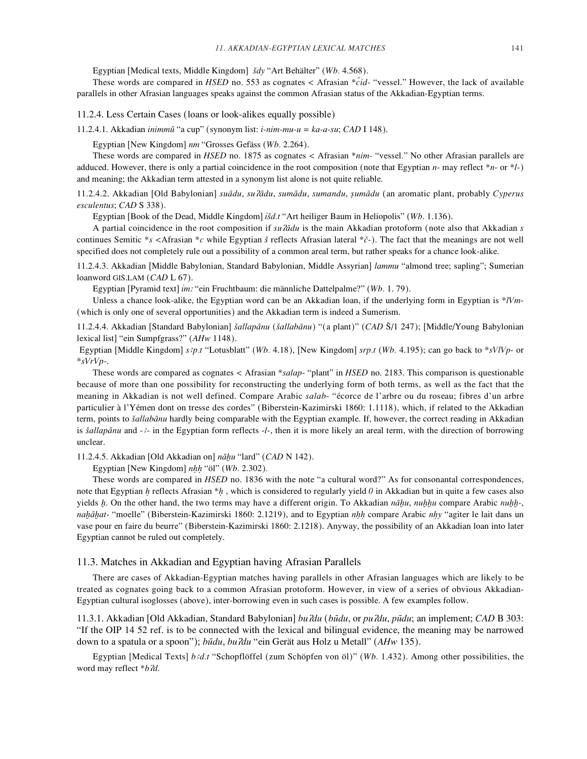Egyptian [Medical texts, Middle Kingdom] *ådy* "Art Behälter" (*Wb.* 4.568).

These words are compared in *HSED* no. 553 as cognates *<* Afrasian \**c^id*- "vessel." However, the lack of available parallels in other Afrasian languages speaks against the common Afrasian status of the Akkadian-Egyptian terms.

11.2.4. Less Certain Cases (loans or look-alikes equally possible)

11.2.4.1. Akkadian *inimmû* "a cup" (synonym list: *i-nim-mu-u = ka-a-su*; *CAD* I 148).

Egyptian [New Kingdom] *nm* "Grosses Gefäss (*Wb.* 2.264).

These words are compared in *HSED* no. 1875 as cognates *<* Afrasian \**nim-* "vessel." No other Afrasian parallels are adduced. However, there is only a partial coincidence in the root composition (note that Egyptian *n*- may reflect \**n*- or \**l*-) and meaning; the Akkadian term attested in a synonym list alone is not quite reliable.

11.2.4.2. Akkadian [Old Babylonian] *suΩdu*, *su*÷*Ωdu*, *sumΩdu*, *sumandu*, *s≥umΩdu* (an aromatic plant, probably *Cyperus esculentus*; *CAD* S 338).

Egyptian [Book of the Dead, Middle Kingdom] *<sup>º</sup> ıåd.t* "Art heiliger Baum in Heliopolis" (*Wb*. 1.136).

A partial coincidence in the root composition if *su <del>ໂά</del>du* is the main Akkadian protoform (note also that Akkadian *s* continues Semitic \**s <*Afrasian \**c* while Egyptian *å* reflects Afrasian lateral \**c√*-). The fact that the meanings are not well specified does not completely rule out a possibility of a common areal term, but rather speaks for a chance look-alike.

11.2.4.3. Akkadian [Middle Babylonian, Standard Babylonian, Middle Assyrian] *lammu* "almond tree; sapling"; Sumerian loanword GIÅ.LAM (*CAD* L 67).

Egyptian [Pyramid text] im: "ein Fruchtbaum: die männliche Dattelpalme?" (Wb. 1. 79).

Unless a chance look-alike, the Egyptian word can be an Akkadian loan, if the underlying form in Egyptian is \**lVm*- (which is only one of several opportunities) and the Akkadian term is indeed a Sumerism.

11.2.4.4. Akkadian [Standard Babylonian] *šallapānu* (šallabānu) "(a plant)" (*CAD* Š/1 247); [Middle/Young Babylonian lexical list] "ein Sumpfgrass?" (*AHw* 1148).

Egyptian [Middle Kingdom] *s˙p.t* "Lotusblatt" (*Wb.* 4.18), [New Kingdom] *srp.t* (*Wb.* 4.195); can go back to \**sVlVp*- or \**sVrVp*-.

These words are compared as cognates *<* Afrasian \**salap*- "plant" in *HSED* no. 2183. This comparison is questionable because of more than one possibility for reconstructing the underlying form of both terms, as well as the fact that the meaning in Akkadian is not well defined. Compare Arabic *salab*- "écorce de l'arbre ou du roseau; fibres d'un arbre particulier à l'Yémen dont on tresse des cordes" (Biberstein-Kazimirski 1860: 1.1118), which, if related to the Akkadian term, points to *šallabānu* hardly being comparable with the Egyptian example. If, however, the correct reading in Akkadian is *šallapānu* and -<sup>2</sup>- in the Egyptian form reflects -*l*-, then it is more likely an areal term, with the direction of borrowing unclear.

11.2.4.5. Akkadian [Old Akkadian on] *nΩæu* "lard" (*CAD* N 142).

Egyptian [New Kingdom] *nh≥h≥* "öl" (*Wb.* 2.302).

These words are compared in *HSED* no. 1836 with the note "a cultural word?" As for consonantal correspondences, note that Egyptian *h* reflects Afrasian \**h*, which is considered to regularly yield 0 in Akkadian but in quite a few cases also *yields <i>h*. On the other hand, the two terms may have a different origin. To Akkadian *nahu*, *nuhhu* compare Arabic *nuhh*-, *nahāhat*- "moelle" (Biberstein-Kazimirski 1860: 2.1219), and to Egyptian *nhh* compare Arabic *nhy* "agiter le lait dans un vase pour en faire du beurre" (Biberstein-Kazimirski 1860: 2.1218). Anyway, the possibility of an Akkadian loan into later Egyptian cannot be ruled out completely.

### 11.3. Matches in Akkadian and Egyptian having Afrasian Parallels

There are cases of Akkadian-Egyptian matches having parallels in other Afrasian languages which are likely to be treated as cognates going back to a common Afrasian protoform. However, in view of a series of obvious Akkadian-Egyptian cultural isoglosses (above), inter-borrowing even in such cases is possible. A few examples follow.

11.3.1. Akkadian [Old Akkadian, Standard Babylonian] *bu*÷*du* (*b"du*, or *pu*÷*du*, *p"du*; an implement; *CAD* B 303: "If the OIP 14 52 ref. is to be connected with the lexical and bilingual evidence, the meaning may be narrowed down to a spatula or a spoon"); *b"du*, *bu*÷*du* "ein Gerät aus Holz u Metall" (*AHw* 135).

Egyptian [Medical Texts] *b˙d.t* "Schopflöffel (zum Schöpfen von öl)" (*Wb.* 1.432). Among other possibilities, the word may reflect \**b*  $2d$ .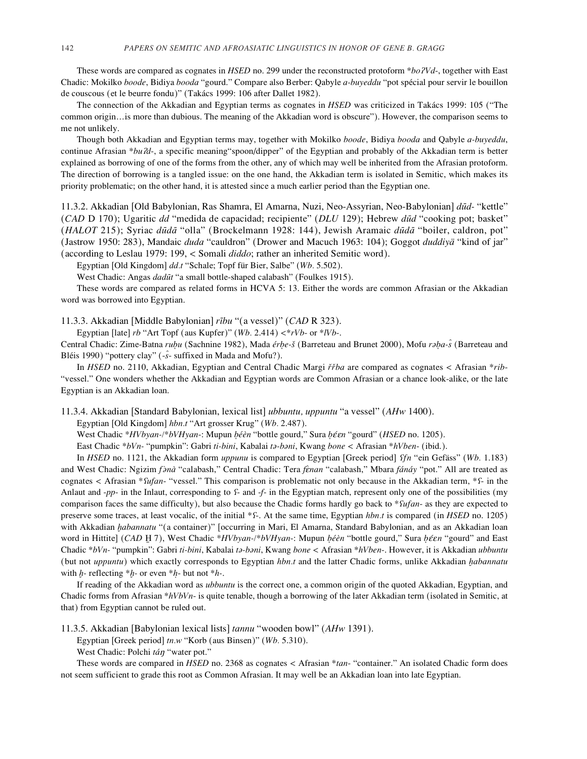These words are compared as cognates in *HSED* no. 299 under the reconstructed protoform \**bo?Vd*-, together with East Chadic: Mokilko *boode*, Bidiya *booda* "gourd." Compare also Berber: Qabyle *a-buyeddu* "pot spécial pour servir le bouillon de couscous (et le beurre fondu)" (Takács 1999: 106 after Dallet 1982).

The connection of the Akkadian and Egyptian terms as cognates in *HSED* was criticized in Takács 1999: 105 ("The common origin…is more than dubious. The meaning of the Akkadian word is obscure"). However, the comparison seems to me not unlikely.

Though both Akkadian and Egyptian terms may, together with Mokilko *boode*, Bidiya *booda* and Qabyle *a-buyeddu*, continue Afrasian \**bu?d*-, a specific meaning"spoon/dipper" of the Egyptian and probably of the Akkadian term is better explained as borrowing of one of the forms from the other, any of which may well be inherited from the Afrasian protoform. The direction of borrowing is a tangled issue: on the one hand, the Akkadian term is isolated in Semitic, which makes its priority problematic; on the other hand, it is attested since a much earlier period than the Egyptian one.

11.3.2. Akkadian [Old Babylonian, Ras Shamra, El Amarna, Nuzi, Neo-Assyrian, Neo-Babylonian] *d"d-* "kettle" (*CAD* D 170); Ugaritic *dd* "medida de capacidad; recipiente" (*DLU* 129); Hebrew *d"d* "cooking pot; basket" (*HALOT* 215); Syriac *d"dΩ* "olla" (Brockelmann 1928: 144), Jewish Aramaic *d"dΩ* "boiler, caldron, pot" (Jastrow 1950: 283), Mandaic *duda* "cauldron" (Drower and Macuch 1963: 104); Goggot *duddiyä* "kind of jar" (according to Leslau 1979: 199, *<* Somali *diddo*; rather an inherited Semitic word).

Egyptian [Old Kingdom] *dd.t* "Schale; Topf für Bier, Salbe" (*Wb.* 5.502).

West Chadic: Angas *dadūt* "a small bottle-shaped calabash" (Foulkes 1915).

These words are compared as related forms in HCVA 5: 13. Either the words are common Afrasian or the Akkadian word was borrowed into Egyptian.

11.3.3. Akkadian [Middle Babylonian] *rÏbu* "(a vessel)" (*CAD* R 323).

Egyptian [late] *rb* "Art Topf (aus Kupfer)" (*Wb.* 2.414) *<*\**rVb*- or \**lVb*-.

Central Chadic: Zime-Batna *rub≥u* (Sachnine 1982), Mada *érb≥e-å* (Barreteau and Brunet 2000), Mofu *rœb≥a-s^*(Barreteau and Bléis 1990) "pottery clay" (-*s^*- suffixed in Mada and Mofu?).

In *HSED* no. 2110, Akkadian, Egyptian and Central Chadic Margi *r√r√ba* are compared as cognates *<* Afrasian \**rib*- "vessel." One wonders whether the Akkadian and Egyptian words are Common Afrasian or a chance look-alike, or the late Egyptian is an Akkadian loan.

11.3.4. Akkadian [Standard Babylonian, lexical list] *ubbuntu, uppuntu* "a vessel" (*AHw* 1400).

Egyptian [Old Kingdom] *hbn.t* "Art grosser Krug" (*Wb.* 2.487).

West Chadic *\*HVbyan-/\*bVHyan*-: Mupun *b≥éèn* "bottle gourd," Sura *b≥èπèn* "gourd" (*HSED* no. 1205).

East Chadic \**bVn-* "pumpkin": Gabri *ti-bini*, Kabalai *tœ-bœni*, Kwang *bone <* Afrasian \**hVben*- (ibid.).

In *HSED* no. 1121, the Akkadian form *uppunu* is compared to Egyptian [Greek period] ¿*fn* "ein Gefäss" (*Wb.* 1.183) and West Chadic: Ngizim *f* $\partial n\hat{a}$  "calabash," Central Chadic: Tera *fènan* "calabash," Mbara *fánáy* "pot." All are treated as cognates *<* Afrasian *\**¿*ufan*- "vessel." This comparison is problematic not only because in the Akkadian term, \*¿- in the Anlaut and *-pp-* in the Inlaut, corresponding to *f-* and *-f-* in the Egyptian match, represent only one of the possibilities (my comparison faces the same difficulty), but also because the Chadic forms hardly go back to *\*fufan*- as they are expected to preserve some traces, at least vocalic, of the initial \*f-. At the same time, Egyptian *hbn.t* is compared (in *HSED* no. 1205) with Akkadian *habannatu* "(a container)" [occurring in Mari, El Amarna, Standard Babylonian, and as an Akkadian loan word in Hittite] (*CAD* H 7), West Chadic \**HVbyan-/\*bVHyan-*: Mupun *b*é*èn* "bottle gourd," Sura *b*é*en* "gourd" and East Chadic \*bVn- "pumpkin": Gabri ti-bini, Kabalai ta-bani, Kwang bone < Afrasian \*hVben-. However, it is Akkadian ubbuntu (but not *uppuntu*) which exactly corresponds to Egyptian *hbn.t* and the latter Chadic forms, unlike Akkadian *æabannatu* with *h*- reflecting \**h*- or even \**h*- but not \**h*-.

If reading of the Akkadian word as *ubbuntu* is the correct one, a common origin of the quoted Akkadian, Egyptian, and Chadic forms from Afrasian \**hVbVn*- is quite tenable, though a borrowing of the later Akkadian term (isolated in Semitic, at that) from Egyptian cannot be ruled out.

11.3.5. Akkadian [Babylonian lexical lists] *tannu* "wooden bowl" (*AHw* 1391).

Egyptian [Greek period] *tn.w* "Korb (aus Binsen)" (*Wb.* 5.310).

West Chadic: Polchi *tán* "water pot."

These words are compared in *HSED* no. 2368 as cognates *<* Afrasian \**tan*- "container." An isolated Chadic form does not seem sufficient to grade this root as Common Afrasian. It may well be an Akkadian loan into late Egyptian.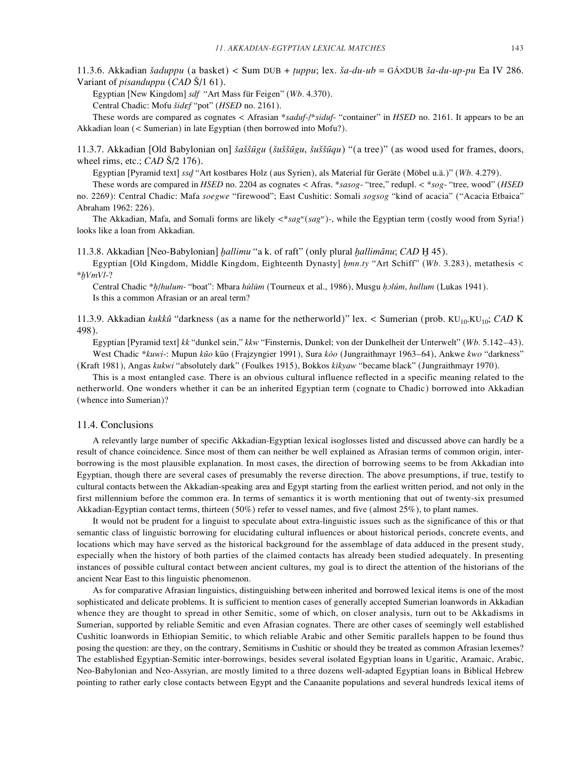11.3.6. Akkadian *åaduppu* (a basket) *<* Sum DUB + *øuppu*; lex. *åa-du-ub* = GÁ≈DUB *åa-du-up-pu* Ea IV 286. Variant of *pisanduppu* (*CAD* Å/1 61).

Egyptian [New Kingdom] *sdf* "Art Mass für Feigen" (*Wb.* 4.370).

Central Chadic: Mofu *åidèf* "pot" (*HSED* no. 2161).

These words are compared as cognates *<* Afrasian \**saduf-*/\**siduf*- "container" in *HSED* no. 2161. It appears to be an Akkadian loan (*<* Sumerian) in late Egyptian (then borrowed into Mofu?).

11.3.7. Akkadian [Old Babylonian on] *åaåå"gu* (*åuåå"gu*, *åuåå"qu*) "(a tree)" (as wood used for frames, doors, wheel rims, etc.; *CAD* S/2 176).

Egyptian [Pyramid text] *ssd≤*"Art kostbares Holz (aus Syrien), als Material für Geräte (Möbel u.ä.)" (*Wb.* 4.279).

These words are compared in *HSED* no. 2204 as cognates *<* Afras. \**sasog*- "tree," redupl. *<* \**sog*- "tree, wood" (*HSED* no. 2269): Central Chadic: Mafa *soegwe* "firewood"; East Cushitic: Somali *sogsog* "kind of acacia" ("Acacia Etbaica" Abraham 1962: 226).

The Akkadian, Mafa, and Somali forms are likely *<*\**sagw*(*sagw*)-, while the Egyptian term (costly wood from Syria!) looks like a loan from Akkadian.

11.3.8. Akkadian [Neo-Babylonian] *æallimu* "a k. of raft" (only plural *æallimΩnu*; *CAD* H¯45).

Egyptian [Old Kingdom, Middle Kingdom, Eighteenth Dynasty] *æmn.ty* "Art Schiff" (*Wb.* 3.283), metathesis *<* \**æVmVl*-?

Central Chadic \**h≥*/*hulum-* "boat": Mbara *hùlùm* (Tourneux et al., 1986), Musgu *h≥òlúm*, *hullum* (Lukas 1941). Is this a common Afrasian or an areal term?

11.3.9. Akkadian *kukkû* "darkness (as a name for the netherworld)" lex. < Sumerian (prob. KU<sub>10</sub>.KU<sub>10</sub>; *CAD* K 498).

Egyptian [Pyramid text] *kk* "dunkel sein," *kkw* "Finsternis, Dunkel; von der Dunkelheit der Unterwelt" (*Wb.* 5.142–43). West Chadic \**kuwi-*: Mupun *kūo* kūo (Frajzyngier 1991), Sura *kòo* (Jungraithmayr 1963–64), Ankwe *kwo* "darkness" (Kraft 1981), Angas *kukwi* "absolutely dark" (Foulkes 1915), Bokkos *kìkyaw* "became black" (Jungraithmayr 1970).

This is a most entangled case. There is an obvious cultural influence reflected in a specific meaning related to the netherworld. One wonders whether it can be an inherited Egyptian term (cognate to Chadic) borrowed into Akkadian (whence into Sumerian)?

#### 11.4. Conclusions

A relevantly large number of specific Akkadian-Egyptian lexical isoglosses listed and discussed above can hardly be a result of chance coincidence. Since most of them can neither be well explained as Afrasian terms of common origin, interborrowing is the most plausible explanation. In most cases, the direction of borrowing seems to be from Akkadian into Egyptian, though there are several cases of presumably the reverse direction. The above presumptions, if true, testify to cultural contacts between the Akkadian-speaking area and Egypt starting from the earliest written period, and not only in the first millennium before the common era. In terms of semantics it is worth mentioning that out of twenty-six presumed Akkadian-Egyptian contact terms, thirteen (50%) refer to vessel names, and five (almost 25%), to plant names.

It would not be prudent for a linguist to speculate about extra-linguistic issues such as the significance of this or that semantic class of linguistic borrowing for elucidating cultural influences or about historical periods, concrete events, and locations which may have served as the historical background for the assemblage of data adduced in the present study, especially when the history of both parties of the claimed contacts has already been studied adequately. In presenting instances of possible cultural contact between ancient cultures, my goal is to direct the attention of the historians of the ancient Near East to this linguistic phenomenon.

As for comparative Afrasian linguistics, distinguishing between inherited and borrowed lexical items is one of the most sophisticated and delicate problems. It is sufficient to mention cases of generally accepted Sumerian loanwords in Akkadian whence they are thought to spread in other Semitic, some of which, on closer analysis, turn out to be Akkadisms in Sumerian, supported by reliable Semitic and even Afrasian cognates. There are other cases of seemingly well established Cushitic loanwords in Ethiopian Semitic, to which reliable Arabic and other Semitic parallels happen to be found thus posing the question: are they, on the contrary, Semitisms in Cushitic or should they be treated as common Afrasian lexemes? The established Egyptian-Semitic inter-borrowings, besides several isolated Egyptian loans in Ugaritic, Aramaic, Arabic, Neo-Babylonian and Neo-Assyrian, are mostly limited to a three dozens well-adapted Egyptian loans in Biblical Hebrew pointing to rather early close contacts between Egypt and the Canaanite populations and several hundreds lexical items of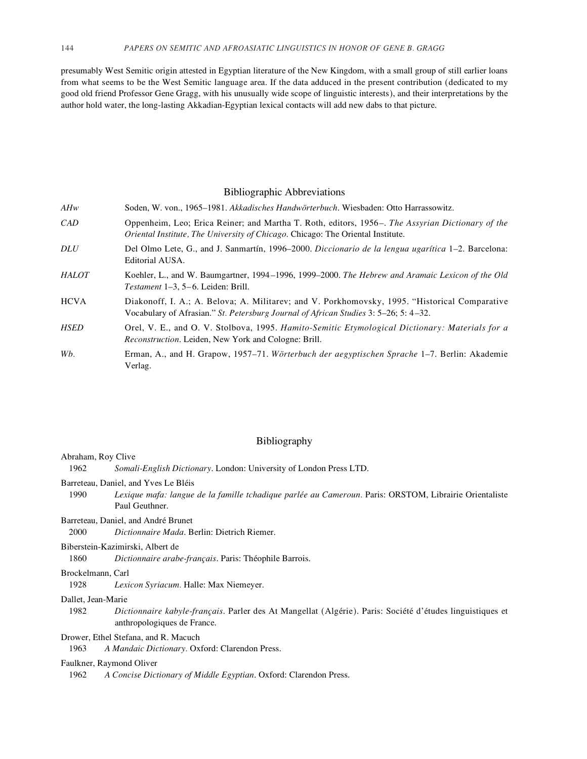presumably West Semitic origin attested in Egyptian literature of the New Kingdom, with a small group of still earlier loans from what seems to be the West Semitic language area. If the data adduced in the present contribution (dedicated to my good old friend Professor Gene Gragg, with his unusually wide scope of linguistic interests), and their interpretations by the author hold water, the long-lasting Akkadian-Egyptian lexical contacts will add new dabs to that picture.

#### Bibliographic Abbreviations

| AHw | Soden, W. von., 1965–1981. Akkadisches Handwörterbuch. Wiesbaden: Otto Harrassowitz.             |
|-----|--------------------------------------------------------------------------------------------------|
| CAD | Oppenheim, Leo; Erica Reiner; and Martha T. Roth, editors, 1956–. The Assyrian Dictionary of the |
|     | <i>Oriental Institute, The University of Chicago. Chicago: The Oriental Institute.</i>           |

- *DLU* Del Olmo Lete, G., and J. Sanmartín, 1996–2000. *Diccionario de la lengua ugarítica* 1–2. Barcelona: Editorial AUSA.
- *HALOT* Koehler, L., and W. Baumgartner, 1994 –1996, 1999–2000. *The Hebrew and Aramaic Lexicon of the Old Testament* 1–3, 5–6. Leiden: Brill.
- HCVA Diakonoff, I. A.; A. Belova; A. Militarev; and V. Porkhomovsky, 1995. "Historical Comparative Vocabulary of Afrasian." *St. Petersburg Journal of African Studies* 3: 5–26; 5: 4–32.
- *HSED* Orel, V. E., and O. V. Stolbova, 1995. *Hamito-Semitic Etymological Dictionary: Materials for a Reconstruction*. Leiden, New York and Cologne: Brill.
- *Wb.* Erman, A., and H. Grapow, 1957–71. *Wörterbuch der aegyptischen Sprache* 1–7. Berlin: Akademie Verlag.

## Bibliography

#### Abraham, Roy Clive

- 1962 *Somali-English Dictionary*. London: University of London Press LTD.
- Barreteau, Daniel, and Yves Le Bléis
- 1990 *Lexique mafa: langue de la famille tchadique parlée au Cameroun.* Paris: ORSTOM, Librairie Orientaliste Paul Geuthner.
- Barreteau, Daniel, and André Brunet

2000 *Dictionnaire Mada*. Berlin: Dietrich Riemer.

Biberstein-Kazimirski, Albert de

1860 *Dictionnaire arabe-français*. Paris: Théophile Barrois.

## Brockelmann, Carl

1928 *Lexicon Syriacum.* Halle: Max Niemeyer.

## Dallet, Jean-Marie

1982 *Dictionnaire kabyle-français*. Parler des At Mangellat (Algérie). Paris: Société d'études linguistiques et anthropologiques de France.

## Drower, Ethel Stefana, and R. Macuch

1963 *A Mandaic Dictionary.* Oxford: Clarendon Press.

#### Faulkner, Raymond Oliver

1962 *A Concise Dictionary of Middle Egyptian*. Oxford: Clarendon Press.